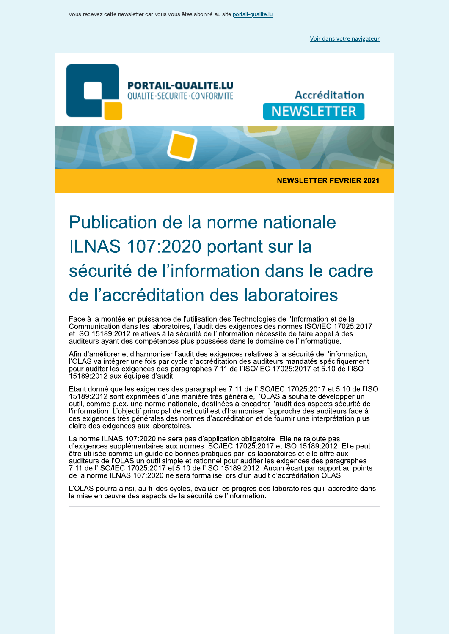Voir dans votre navigateur



# Publication de la norme hationale ILNAS 107:2020 portant sur la securite de l'information dans le cadre de l'accreditation des laboratoires

Face a la montee en puissance de l'utilisation des Technologies de l'information et de la  $\blacksquare$ Communication dans les laboratoires, l'audit des exigences des normes ISO/IEC 1/025:2017 et ISO 15189:2012 relatives a la securite de l'information et ISO 15189:2012 relatives a la securite de l'information necessite de faire appel a des<br>auditeurs ayant des compétences plus poussées dans le domaine de l'informatique.

Afin d'amellorer et d'harmoniser l'audit des exigences relatives à la securité de l'information, l OLAS va integrer une fois par cycle d'accreditation des auditeurs mandates specifiquement pour auditer les exigences des paragraphes 7.11 de HSO/IEC 17025:2017 et 5.10 de HSO<br>15189:2012 aux équipes d'audit.

 $E$  Etant donne que les exigences des paragraphes  $7.11$  de  $1180/180$   $17025.2017$  et 5.10 de  $1180$ 15189:2012 sont exprimees a une maniere tres generale, l'OLAS a souhaite developper un outil, comme p.ex. une norme nation<br>littés mestiquellisticatif entretant de c outil, comme p.ex. une norme hationale, destinees a encadrer i audit des aspects securité de<br>l'information. L'objectif principal de cet outil est d'harmoniser l'approche des auditeurs face à ces exigences tres generales des normes d'accreditation et de fournir une interpretation plus ciaire des exigences aux iaboratoires.

La norme ILNAS 107.2020 ne sera pas d'application obligatoire. Elle ne rajou<br>d'animate servent frecetaire comme une d'OOUEO 47005.0047 et 100.45400 d'exigences supplémentaires aux normes ISO/IEC 17025:2017 et ISO 15189:2012. Elle peut d exigences supplementaires aux normes ISO/IEC 17025:2017 et ISO 15189:2012. Elle peut<br>être utilisée comme un guide de bonnes pratiques par les laboratoires et elle offre aux auditeurs de l'OLAS un outil simple et rationnel pour auditer les exigences des paragraphes<br>7.11 de l'ISO/IEC 17025:2017 et 5.10 de l'ISO 15189:2012. Aucun écart par rapport au points de la norme ILNAS 107:2020 ne sera formalise lors d'un audit d'accreditation OLAS.

L'OLAS pourra ainsi, au fil des cycles, evaluer les progres des laboratoll<br>Le mise de comme des concertes de la céremité de l'information L'OLAS pourra ainsi, au fil des cycles, evaluer les progres des laboratoires qu'il accredite dans<br>la mise en œuvre des aspects de la sécurité de l'information.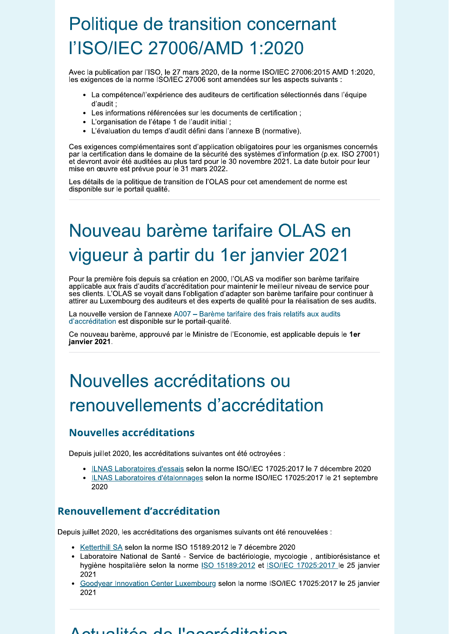# Politique de transition concernant l'ISO/IEC 27006/AMD 1:2020

Avec la publication par l'ISO, le 27 mars 2020, de la norme ISO/IEC 27006:2015 AMD 1:2020, les exigences de la norme ISO/IEC 27006 sont amendées sur les aspects suivants :

- La compétence/l'expérience des auditeurs de certification sélectionnés dans l'équipe d'audit :
- Les informations référencées sur les documents de certification ;
- L'organisation de l'étape 1 de l'audit initial ;
- L'évaluation du temps d'audit défini dans l'annexe B (normative).

Ces exigences complémentaires sont d'application obligatoires pour les organismes concernés par la certification dans le domaine de la sécurité des systèmes d'information (p.ex. ISO 27001) et devront avoir été auditées au plus tard pour le 30 novembre 2021. La date butoir pour leur mise en œuvre est prévue pour le 31 mars 2022.

Les détails de la politique de transition de l'OLAS pour cet amendement de norme est disponible sur le portail qualité.

# Nouveau barème tarifaire OLAS en vigueur à partir du 1er janvier 2021

Pour la première fois depuis sa création en 2000, l'OLAS va modifier son barème tarifaire applicable aux frais d'audits d'accréditation pour maintenir le meilleur niveau de service pour ses clients. L'OLAS se voyait dans l'obligation d'adapter son barème tarifaire pour continuer à attirer au Luxembourg des auditeurs et des experts de qualité pour la réalisation de ses audits.

La nouvelle version de l'annexe A007 - Barème tarifaire des frais relatifs aux audits d'accréditation est disponible sur le portail-qualité.

Ce nouveau barème, approuvé par le Ministre de l'Economie, est applicable depuis le 1er janvier 2021.

# Nouvelles accréditations ou renouvellements d'accréditation

## Nouvelles accréditations

Depuis juillet 2020, les accréditations suivantes ont été octroyées :

- ILNAS Laboratoires d'essais selon la norme ISO/IEC 17025:2017 le 7 décembre 2020
- ILNAS Laboratoires d'étalonnages selon la norme ISO/IEC 17025:2017 le 21 septembre 2020

## Renouvellement d'accréditation

Depuis juillet 2020, les accréditations des organismes suivants ont été renouvelées :

- Ketterthill SA selon la norme ISO 15189:2012 le 7 décembre 2020
- · Laboratoire National de Santé Service de bactériologie, mycologie, antibiorésistance et hygiène hospitalière selon la norme ISO 15189:2012 et ISO/IEC 17025:2017 le 25 janvier 2021
- Goodyear Innovation Center Luxembourg selon la norme ISO/IEC 17025:2017 le 25 janvier 2021

#### $\Lambda$ otuolitée de l'eseréditetien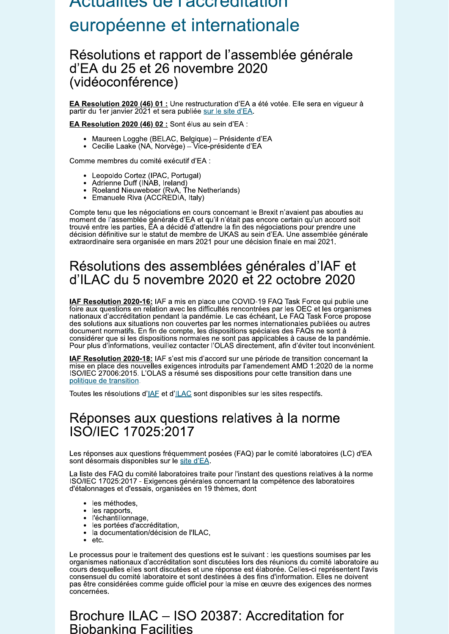# Actualités de Faccieditation européenne et internationale

## Résolutions et rapport de l'assemblée générale d'EA du 25 et 26 novembre 2020 (vidéoconférence)

EA Resolution 2020 (46) 01 : Une restructuration d'EA a été votée. Elle sera en vigueur à partir du 1er janvier 2021 et sera publiée sur le site d'EA.

EA Resolution 2020 (46) 02 : Sont élus au sein d'EA :

- · Maureen Logghe (BELAC, Belgique) Présidente d'EA
- Cecilie Laake (NA, Norvège) Vice-présidente d'EA

Comme membres du comité exécutif d'EA :

- Leopoldo Cortez (IPAC, Portugal)
- Adrienne Duff (INAB, Ireland)
- Roeland Nieuweboer (RvA, The Netherlands)<br>• Emanuele Riva (ACCREDIA, Italy)
- 

Compte tenu que les négociations en cours concernant le Brexit n'avaient pas abouties au moment de l'assemblée générale d'EA et qu'il n'était pas encore certain qu'un accord soit trouvé entre les parties, EA a décidé d'attendre la fin des négociations pour prendre une décision définitive sur le statut de membre de UKAS au sein d'EA. Une assemblée générale extraordinaire sera organisée en mars 2021 pour une décision finale en mai 2021.

## Résolutions des assemblées générales d'IAF et d'ILAC du 5 novembre 2020 et 22 octobre 2020

IAF Resolution 2020-16: IAF a mis en place une COVID-19 FAQ Task Force qui publie une foire aux questions en relation avec les difficultés rencontrées par les OEC et les organismes nationaux d'accréditation pendant la pandémie. Le cas échéant, Le FAQ Task Force propose des solutions aux situations non couvertes par les normes internationales publiées ou autres document normatifs. En fin de compte, les dispositions spéciales des FAQs ne sont à considérer que si les dispositions normales ne sont pas applicables à cause de la pandémie.<br>Pour plus d'informations, veuillez contacter l'OLAS directement, afin d'éviter tout inconvénient.

IAF Resolution 2020-18: IAF s'est mis d'accord sur une période de transition concernant la mise en place des nouvelles exigences introduits par l'amendement AMD 1:2020 de la norme ISO/IEC 27006:2015. L'OLAS a résumé ses dispositions pour cette transition dans une politique de transition.

Toutes les résolutions d'IAF et d'ILAC sont disponibles sur les sites respectifs.

## Réponses aux questions relatives à la norme **ISO/IEC 17025:2017**

Les réponses aux questions fréquemment posées (FAQ) par le comité laboratoires (LC) d'EA sont désormais disponibles sur le site d'EA.

La liste des FAQ du comité laboratoires traite pour l'instant des questions relatives à la norme<br>ISO/IEC 17025:2017 - Exigences générales concernant la compétence des laboratoires d'étalonnages et d'essais, organisées en 19 thèmes, dont

- · les méthodes,
- les rapports,  $\bullet$
- · l'échantillonnage,
- · les portées d'accréditation,
- · la documentation/décision de l'ILAC,
- $\bullet$ etc.

Le processus pour le traitement des questions est le suivant : les questions soumises par les organismes nationaux d'accréditation sont discutées lors des réunions du comité laboratoire au cours desquelles elles sont discutées et une réponse est élaborée. Celles-ci représentent l'avis consensuel du comité laboratoire et sont destinées à des fins d'information. Elles ne doivent pas être considérées comme guide officiel pour la mise en œuvre des exigences des normes concernées.

## Brochure ILAC - ISO 20387: Accreditation for **Biobanking Facilities**